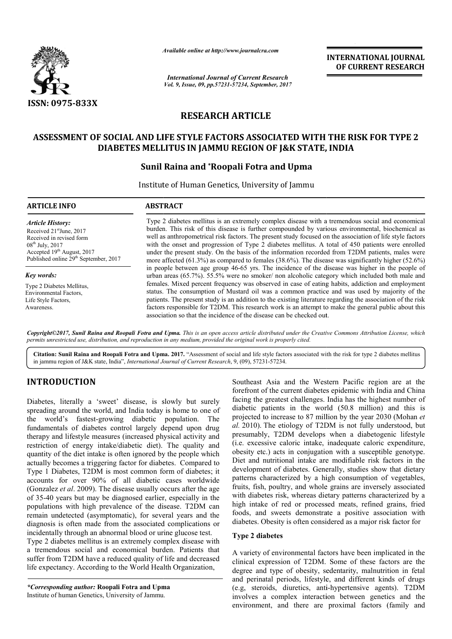

*Available online at http://www.journal http://www.journalcra.com*

*International Journal of Current Research Vol. 9, Issue, 09, pp.57231-57234, September, 2017* **INTERNATIONAL JOURNAL OF CURRENT RESEARCH** 

# **RESEARCH ARTICLE**

# **ASSESSMENT OF SOCIAL AND LIFE STYLE FACTORS ASSOCIATED WITH THE RISK FOR TYPE 2 ASSESSMENT OF TYPE 2 STATE, INDIADIABETES MELLITUS IN JAMMU REGION OF J&K STATE, INDIA**

### **Sunil Raina and \*Roopali Fotra and Upma**

Institute of Human Genetics, University of Jammu

| <b>ARTICLE INFO</b>                                                                                                                                                                                           | <b>ABSTRACT</b>                                                                                                                                                                                                                                                                                                                                                                                                                                                                                                                                                                                                                            |  |  |
|---------------------------------------------------------------------------------------------------------------------------------------------------------------------------------------------------------------|--------------------------------------------------------------------------------------------------------------------------------------------------------------------------------------------------------------------------------------------------------------------------------------------------------------------------------------------------------------------------------------------------------------------------------------------------------------------------------------------------------------------------------------------------------------------------------------------------------------------------------------------|--|--|
| <b>Article History:</b><br>Received 21 <sup>st</sup> June, 2017<br>Received in revised form<br>$08^{\text{th}}$ July, 2017<br>Accepted 19th August, 2017<br>Published online 29 <sup>th</sup> September, 2017 | Type 2 diabetes mellitus is an extremely complex disease with a tremendous social and economical<br>burden. This risk of this disease is further compounded by various environmental, biochemical as<br>well as anthropometrical risk factors. The present study focused on the association of life style factors<br>with the onset and progression of Type 2 diabetes mellitus. A total of 450 patients were enrolled<br>under the present study. On the basis of the information recorded from T2DM patients, males were<br>more affected $(61.3\%)$ as compared to females $(38.6\%)$ . The disease was significantly higher $(52.6\%)$ |  |  |
| Key words:                                                                                                                                                                                                    | in people between age group 46-65 yrs. The incidence of the disease was higher in the people of<br>urban areas (65.7%). 55.5% were no smoker/ non alcoholic category which included both male and                                                                                                                                                                                                                                                                                                                                                                                                                                          |  |  |
| Type 2 Diabetes Mellitus,<br>Environmental Factors,<br>Life Style Factors,<br>Awareness.                                                                                                                      | females. Mixed percent frequency was observed in case of eating habits, addiction and employment<br>status. The consumption of Mustard oil was a common practice and was used by majority of the<br>patients. The present study is an addition to the existing literature regarding the association of the risk<br>factors responsible for T2DM. This research work is an attempt to make the general public about this<br>association so that the incidence of the disease can be checked out.                                                                                                                                            |  |  |

*Copyright©2017, Sunil Raina and Roopali Fotra and Upma Upma. This is an open access article distributed under the Creative Commons Att is article Attribution License, which permits unrestricted use, distribution, and reproduction in any medium, provided the original work is properly cited.*

Citation: Sunil Raina and Roopali Fotra and Upma. 2017. "Assessment of social and life style factors associated with the risk for type 2 diabetes mellitus in jammu region of J&K state, India", *International Journal of Current Research* , 9, (09), 57231-57234.

### **INTRODUCTION**

Diabetes, literally a 'sweet' disease, is slowly but surely spreading around the world, and India today is home to one of the world's fastest-growing diabetic population. The fundamentals of diabetes control largely depend upon drug therapy and lifestyle measures (increased physical activity and restriction of energy intake/diabetic diet). The quality and quantity of the diet intake is often ignored by the people which actually becomes a triggering factor for diabetes. Type 1 Diabetes, T2DM is most common form of diabetes; it accounts for over 90% of all diabetic cases worldwide (Gonzalez *et al*. 2009). The disease usually occurs after the age of 35-40 years but may be diagnosed earlier, especially in the populations with high prevalence of the disease. T2DM can remain undetected (asymptomatic), for several years and the diagnosis is often made from the associated complications or incidentally through an abnormal blood or urine glucose test. Id's fastest-growing diabetic population. The trals of diabetes control largely depend upon drug and lifestyle measures (increased physical activity and a of energy intake/diabetic diet). The quality and of the diet intake 1 Diabetes, T2DM is most common for<br>the for-over 90% of all diabetic<br>alez *et al.* 2009). The disease usually oo<br>40 years but may be diagnosed earlier<br>ations with high prevalence of the dis-<br>1 undetected (asymptomatic), fo

Type 2 diabetes mellitus is an extremely complex disease with a tremendous social and economical burden. Patients that suffer from T2DM have a reduced quality of life and decreased life expectancy. According to the World Health Organization,

*\*Corresponding author:* **Roopali Fotra and Upma** Institute of human Genetics, University of Jammu

Southeast Asia and the Western Pacific region are at the forefront of the current diabetes epidemic with India and China facing the greatest challenges. India has the highest number of diabetic patients in the world (50.8 million) and this is diabetic patients in the world (50.8 million) and this is projected to increase to 87 million by the year 2030 (Mohan *et al.* 2010). The etiology of T2DM is not fully understood, but presumably, T2DM develops when a diabetogenic lifestyle al. 2010). The etiology of T2DM is not fully understood, but presumably, T2DM develops when a diabetogenic lifestyle (i.e. excessive caloric intake, inadequate caloric expenditure, obesity etc.) acts in conjugation with a susceptible genotype. Diet and nutritional intake are modifiable risk factors in the development of diabetes. Generally, studies show that dietary patterns characterized by a high consumption of vegetables, fruits, fish, poultry, and whole grains are inversely associated with diabetes risk, whereas dietary patterns characterized by a high intake of red or processed meats, refined grains, fried foods, and sweets demonstrate a positive asso diabetes. Obesity is often considered as a major risk factor for Asia and the Western Pacific region are at the f the current diabetes epidemic with India and China greatest challenges. India has the highest number of ty etc.) acts in conjugation with a susceptible genotype.<br>and nutritional intake are modifiable risk factors in the<br>opment of diabetes. Generally, studies show that dietary<br>ms characterized by a high consumption of vegetab fish, poultry, and whole grains are inversely associated diabetes risk, whereas dietary patterns characterized by a intake of red or processed meats, refined grains, fried, and sweets demonstrate a positive association wit **EXERENT SET (SET ASSAUTIONAL JOURNAL SET (SET ASSAUTED AND THE SET ASSAUTED AND THE SET AND A CONSUMPTED CHANGED CONSULTED AND THE SET AND A SURFACT AND A SURFACT AND A SURFACT AND A SURFACT AND A SURFACT AND A SURFACT A** 

#### **Type 2 diabetes**

A variety of environmental factors have been implicated in the clinical expression of T2DM. Some of these factors are the degree and type of obesity, sedentarity, malnutrition in fetal and perinatal periods, lifestyle, and different kinds of drugs (e.g, steroids, diuretics, anti involves a complex interaction between genetics and the environment, and there are proximal factors (family and is. Obesity is often considered as a major risk factor for<br>diabetes<br>ty of environmental factors have been implicated in the<br>expression of T2DM. Some of these factors are the<br>and type of obesity, sedentarity, malnutrition i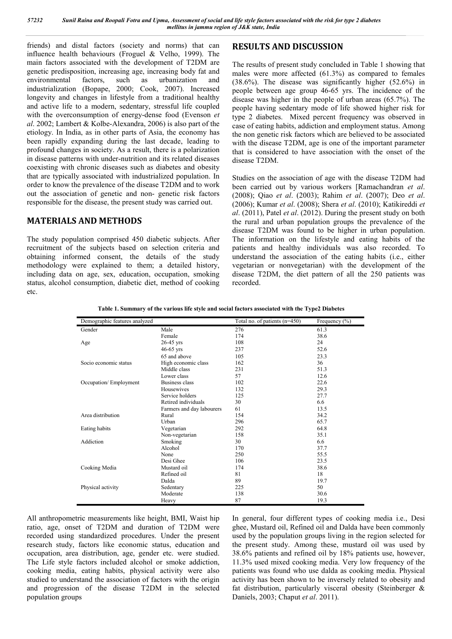friends) and distal factors (society and norms) that can influence health behaviours (Froguel & Velho, 1999). The main factors associated with the development of T2DM are genetic predisposition, increasing age, increasing body fat and environmental factors, such as urbanization and industrialization (Bopape, 2000; Cook, 2007). Increased longevity and changes in lifestyle from a traditional healthy and active life to a modern, sedentary, stressful life coupled with the overconsumption of energy-dense food (Evenson *et al*. 2002; Lambert & Kolbe-Alexandra, 2006) is also part of the etiology. In India, as in other parts of Asia, the economy has been rapidly expanding during the last decade, leading to profound changes in society. As a result, there is a polarization in disease patterns with under-nutrition and its related diseases coexisting with chronic diseases such as diabetes and obesity that are typically associated with industrialized population. In order to know the prevalence of the disease T2DM and to work out the association of genetic and non- genetic risk factors responsible for the disease, the present study was carried out.

### **MATERIALS AND METHODS**

The study population comprised 450 diabetic subjects. After recruitment of the subjects based on selection criteria and obtaining informed consent, the details of the study methodology were explained to them; a detailed history, including data on age, sex, education, occupation, smoking status, alcohol consumption, diabetic diet, method of cooking etc.

# **RESULTS AND DISCUSSION**

The results of present study concluded in Table 1 showing that males were more affected (61.3%) as compared to females (38.6%). The disease was significantly higher (52.6%) in people between age group 46-65 yrs. The incidence of the disease was higher in the people of urban areas (65.7%). The people having sedentary mode of life showed higher risk for type 2 diabetes. Mixed percent frequency was observed in case of eating habits, addiction and employment status. Among the non genetic risk factors which are believed to be associated with the disease T2DM, age is one of the important parameter that is considered to have association with the onset of the disease T2DM.

Studies on the association of age with the disease T2DM had been carried out by various workers [Ramachandran *et al*. (2008); Qiao *et al*. (2003); Rahim *et al*. (2007); Deo *et al*. (2006); Kumar *et al*. (2008); Shera *et al*. (2010); Katikireddi *et al*. (2011), Patel *et al*. (2012). During the present study on both the rural and urban population groups the prevalence of the disease T2DM was found to be higher in urban population. The information on the lifestyle and eating habits of the patients and healthy individuals was also recorded. To understand the association of the eating habits (i.e., either vegetarian or nonvegetarian) with the development of the disease T2DM, the diet pattern of all the 250 patients was recorded.

**Table 1. Summary of the various life style and social factors associated with the Type2 Diabetes**

| Demographic features analyzed |                           | Total no. of patients $(n=450)$ | Frequency $(\% )$ |
|-------------------------------|---------------------------|---------------------------------|-------------------|
| Gender                        | Male                      | 276                             | 61.3              |
|                               | Female                    | 174                             | 38.6              |
| Age                           | $26-45$ yrs               | 108                             | 24                |
|                               | $46-65$ yrs               | 237                             | 52.6              |
|                               | 65 and above              | 105                             | 23.3              |
| Socio economic status         | High economic class       | 162                             | 36                |
|                               | Middle class              | 231                             | 51.3              |
|                               | Lower class               | 57                              | 12.6              |
| Occupation/Employment         | Business class            | 102                             | 22.6              |
|                               | Housewives                | 132                             | 29.3              |
|                               | Service holders           | 125                             | 27.7              |
|                               | Retired individuals       | 30                              | 6.6               |
|                               | Farmers and day labourers | 61                              | 13.5              |
| Area distribution             | Rural                     | 154                             | 34.2              |
|                               | Urban                     | 296                             | 65.7              |
| Eating habits                 | Vegetarian                | 292                             | 64.8              |
|                               | Non-vegetarian            | 158                             | 35.1              |
| Addiction                     | Smoking                   | 30                              | 6.6               |
|                               | Alcohol                   | 170                             | 37.7              |
|                               | None                      | 250                             | 55.5              |
|                               | Desi Ghee                 | 106                             | 23.5              |
| Cooking Media                 | Mustard oil               | 174                             | 38.6              |
|                               | Refined oil               | 81                              | 18                |
|                               | Dalda                     | 89                              | 19.7              |
| Physical activity             | Sedentary                 | 225                             | 50                |
|                               | Moderate                  | 138                             | 30.6              |
|                               | Heavy                     | 87                              | 19.3              |

All anthropometric measurements like height, BMI, Waist hip ratio, age, onset of T2DM and duration of T2DM were recorded using standardized procedures. Under the present research study, factors like economic status, education and occupation, area distribution, age, gender etc. were studied. The Life style factors included alcohol or smoke addiction, cooking media, eating habits, physical activity were also studied to understand the association of factors with the origin and progression of the disease T2DM in the selected population groups

In general, four different types of cooking media i.e., Desi ghee, Mustard oil, Refined oil and Dalda have been commonly used by the population groups living in the region selected for the present study. Among these, mustard oil was used by 38.6% patients and refined oil by 18% patients use, however, 11.3% used mixed cooking media. Very low frequency of the patients was found who use dalda as cooking media. Physical activity has been shown to be inversely related to obesity and fat distribution, particularly visceral obesity (Steinberger & Daniels, 2003; Chaput *et al*. 2011).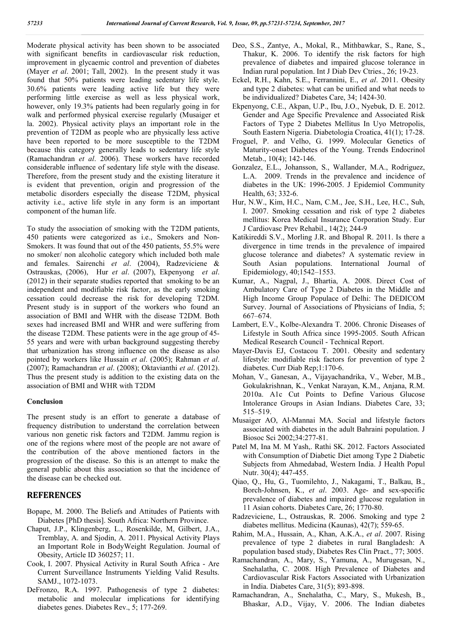Moderate physical activity has been shown to be associated with significant benefits in cardiovascular risk reduction, improvement in glycaemic control and prevention of diabetes (Mayer *et al*. 2001; Tall, 2002). In the present study it was found that 50% patients were leading sedentary life style. 30.6% patients were leading active life but they were performing little exercise as well as less physical work, however, only 19.3% patients had been regularly going in for walk and performed physical exercise regularly (Musaiger et la. 2002). Physical activity plays an important role in the prevention of T2DM as people who are physically less active have been reported to be more susceptible to the T2DM because this category generally leads to sedentary life style (Ramachandran *et al*. 2006). These workers have recorded considerable influence of sedentary life style with the disease. Therefore, from the present study and the existing literature it is evident that prevention, origin and progression of the metabolic disorders especially the disease T2DM, physical activity i.e., active life style in any form is an important component of the human life.

To study the association of smoking with the T2DM patients, 450 patients were categorized as i.e., Smokers and Non-Smokers. It was found that out of the 450 patients, 55.5% were no smoker/ non alcoholic category which included both male and females. Sairenchi *et al*. (2004), Radzeviciene & Ostrauskas, (2006), Hur *et al*. (2007), Ekpenyong *et al*. (2012) in their separate studies reported that smoking to be an independent and modifiable risk factor, as the early smoking cessation could decrease the risk for developing T2DM. Present study is in support of the workers who found an association of BMI and WHR with the disease T2DM. Both sexes had increased BMI and WHR and were suffering from the disease T2DM. These patients were in the age group of 45- 55 years and were with urban background suggesting thereby that urbanization has strong influence on the disease as also pointed by workers like Hussain *et al*. (2005); Rahman *et al*. (2007); Ramachandran *et al*. (2008); Oktavianthi *et al*. (2012). Thus the present study is addition to the existing data on the association of BMI and WHR with T2DM

### **Conclusion**

The present study is an effort to generate a database of frequency distribution to understand the correlation between various non genetic risk factors and T2DM. Jammu region is one of the regions where most of the people are not aware of the contribution of the above mentioned factors in the progression of the disease. So this is an attempt to make the general public about this association so that the incidence of the disease can be checked out.

### **REFERENCES**

- Bopape, M. 2000. The Beliefs and Attitudes of Patients with Diabetes [PhD thesis]. South Africa: Northern Province.
- Chaput, J.P., Klingenberg, L., Rosenkilde, M, Gilbert, J.A., Tremblay, A. and Sjodin, A. 2011. Physical Activity Plays an Important Role in BodyWeight Regulation. Journal of Obesity, Article ID 360257; 11.
- Cook, I. 2007. Physical Activity in Rural South Africa Are Current Surveillance Instruments Yielding Valid Results. SAMJ., 1072-1073.
- DeFronzo, R.A. 1997. Pathogenesis of type 2 diabetes: metabolic and molecular implications for identifying diabetes genes. Diabetes Rev., 5; 177-269.
- Deo, S.S., Zantye, A., Mokal, R., Mithbawkar, S., Rane, S., Thakur, K. 2006. To identify the risk factors for high prevalence of diabetes and impaired glucose tolerance in Indian rural population. Int J Diab Dev Ctries., 26; 19-23.
- Eckel, R.H., Kahn, S.E., Ferrannini, E., *et al*. 2011. Obesity and type 2 diabetes: what can be unified and what needs to be individualized? Diabetes Care, 34; 1424-30.
- Ekpenyong, C.E., Akpan, U.P., Ibu, J.O., Nyebuk, D. E. 2012. Gender and Age Specific Prevalence and Associated Risk Factors of Type 2 Diabetes Mellitus In Uyo Metropolis, South Eastern Nigeria. Diabetologia Croatica, 41(1); 17-28.
- Froguel, P. and Velho, G. 1999. Molecular Genetics of Maturity-onset Diabetes of the Young. Trends Endocrinol Metab., 10(4); 142-146.
- Gonzalez, E.L., Johansson, S., Wallander, M.A., Rodriguez, L.A. 2009. Trends in the prevalence and incidence of diabetes in the UK: 1996-2005. J Epidemiol Community Health, 63; 332-6.
- Hur, N.W., Kim, H.C., Nam, C.M., Jee, S.H., Lee, H.C., Suh, I. 2007. Smoking cessation and risk of type 2 diabetes mellitus: Korea Medical Insurance Corporation Study. Eur J Cardiovasc Prev Rehabil., 14(2); 244-9
- Katikireddi S.V., Morling J.R. and Bhopal R. 2011. Is there a divergence in time trends in the prevalence of impaired glucose tolerance and diabetes? A systematic review in South Asian populations. International Journal of Epidemiology, 40;1542–1553.
- Kumar, A., Nagpal, J., Bhartia, A. 2008. Direct Cost of Ambulatory Care of Type 2 Diabetes in the Middle and High Income Group Populace of Delhi: The DEDICOM Survey. Journal of Associations of Physicians of India, 5; 667–674.
- Lambert, E.V., Kolbe-Alexandra T. 2006. Chronic Diseases of Lifestyle in South Africa since 1995-2005. South African Medical Research Council - Technical Report.
- Mayer-Davis EJ, Costacou T. 2001. Obesity and sedentary lifestyle: modifiable risk factors for prevention of type 2 diabetes. Curr Diab Rep;1:170-6.
- Mohan, V., Ganesan, A., Vijayachandrika, V., Weber, M.B., Gokulakrishnan, K., Venkat Narayan, K.M., Anjana, R.M. 2010a. A1c Cut Points to Define Various Glucose Intolerance Groups in Asian Indians. Diabetes Care, 33; 515–519.
- Musaiger AO, Al-Mannai MA. Social and lifestyle factors associated with diabetes in the adult Bahraini population. J Biosoc Sci 2002;34:277-81.
- Patel M, Ina M. M Yash,. Rathi SK. 2012. Factors Associated with Consumption of Diabetic Diet among Type 2 Diabetic Subjects from Ahmedabad, Western India. J Health Popul Nutr. 30(4); 447-455.
- Qiao, Q., Hu, G., Tuomilehto, J., Nakagami, T., Balkau, B., Borch-Johnsen, K., *et al*. 2003. Age- and sex-specific prevalence of diabetes and impaired glucose regulation in 11 Asian cohorts. Diabetes Care, 26; 1770-80.
- Radzeviciene, L., Ostrauskas, R. 2006. Smoking and type 2 diabetes mellitus. Medicina (Kaunas), 42(7); 559-65.
- Rahim, M.A., Hussain, A., Khan, A.K.A., *et al*. 2007. Rising prevalence of type 2 diabetes in rural Bangladesh: A population based study, Diabetes Res Clin Pract., 77; 3005.
- Ramachandran, A., Mary, S., Yamuna, A., Murugesan, N., Snehalatha, C. 2008. High Prevalence of Diabetes and Cardiovascular Risk Factors Associated with Urbanization in India. Diabetes Care, 31(5); 893-898.
- Ramachandran, A., Snehalatha, C., Mary, S., Mukesh, B., Bhaskar, A.D., Vijay, V. 2006. The Indian diabetes